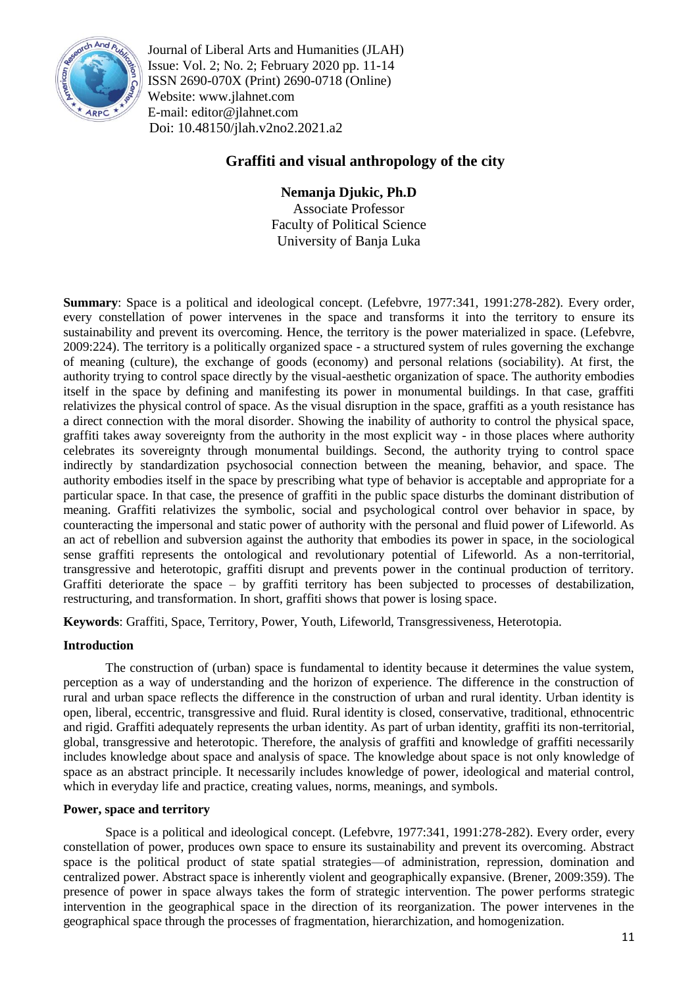

Journal of Liberal Arts and Humanities (JLAH) Issue: Vol. 2; No. 2; February 2020 pp. 11-14 ISSN 2690-070X (Print) 2690-0718 (Online) Website: www.jlahnet.com E-mail: editor@jlahnet.com Doi: 10.48150/jlah.v2no2.2021.a2

# **Graffiti and visual anthropology of the city**

## **Nemanja Djukic, Ph.D**

Associate Professor Faculty of Political Science University of Banja Luka

**Summary**: Space is a political and ideological concept. (Lefebvre, 1977:341, 1991:278-282). Every order, every constellation of power intervenes in the space and transforms it into the territory to ensure its sustainability and prevent its overcoming. Hence, the territory is the power materialized in space. (Lefebvre, 2009:224). The territory is a politically organized space - a structured system of rules governing the exchange of meaning (culture), the exchange of goods (economy) and personal relations (sociability). At first, the authority trying to control space directly by the visual-aesthetic organization of space. The authority embodies itself in the space by defining and manifesting its power in monumental buildings. In that case, graffiti relativizes the physical control of space. As the visual disruption in the space, graffiti as a youth resistance has a direct connection with the moral disorder. Showing the inability of authority to control the physical space, graffiti takes away sovereignty from the authority in the most explicit way - in those places where authority celebrates its sovereignty through monumental buildings. Second, the authority trying to control space indirectly by standardization psychosocial connection between the meaning, behavior, and space. The authority embodies itself in the space by prescribing what type of behavior is acceptable and appropriate for a particular space. In that case, the presence of graffiti in the public space disturbs the dominant distribution of meaning. Graffiti relativizes the symbolic, social and psychological control over behavior in space, by counteracting the impersonal and static power of authority with the personal and fluid power of Lifeworld. As an act of rebellion and subversion against the authority that embodies its power in space, in the sociological sense graffiti represents the ontological and revolutionary potential of Lifeworld. As a non-territorial, transgressive and heterotopic, graffiti disrupt and prevents power in the continual production of territory. Graffiti deteriorate the space – by graffiti territory has been subjected to processes of destabilization, restructuring, and transformation. In short, graffiti shows that power is losing space.

**Keywords**: Graffiti, Space, Territory, Power, Youth, Lifeworld, Transgressiveness, Heterotopia.

### **Introduction**

The construction of (urban) space is fundamental to identity because it determines the value system, perception as a way of understanding and the horizon of experience. The difference in the construction of rural and urban space reflects the difference in the construction of urban and rural identity. Urban identity is open, liberal, eccentric, transgressive and fluid. Rural identity is closed, conservative, traditional, ethnocentric and rigid. Graffiti adequately represents the urban identity. As part of urban identity, graffiti its non-territorial, global, transgressive and heterotopic. Therefore, the analysis of graffiti and knowledge of graffiti necessarily includes knowledge about space and analysis of space. The knowledge about space is not only knowledge of space as an abstract principle. It necessarily includes knowledge of power, ideological and material control, which in everyday life and practice, creating values, norms, meanings, and symbols.

### **Power, space and territory**

Space is a political and ideological concept. (Lefebvre, 1977:341, 1991:278-282). Every order, every constellation of power, produces own space to ensure its sustainability and prevent its overcoming. Abstract space is the political product of state spatial strategies—of administration, repression, domination and centralized power. Abstract space is inherently violent and geographically expansive. (Brener, 2009:359). The presence of power in space always takes the form of strategic intervention. The power performs strategic intervention in the geographical space in the direction of its reorganization. The power intervenes in the geographical space through the processes of fragmentation, hierarchization, and homogenization.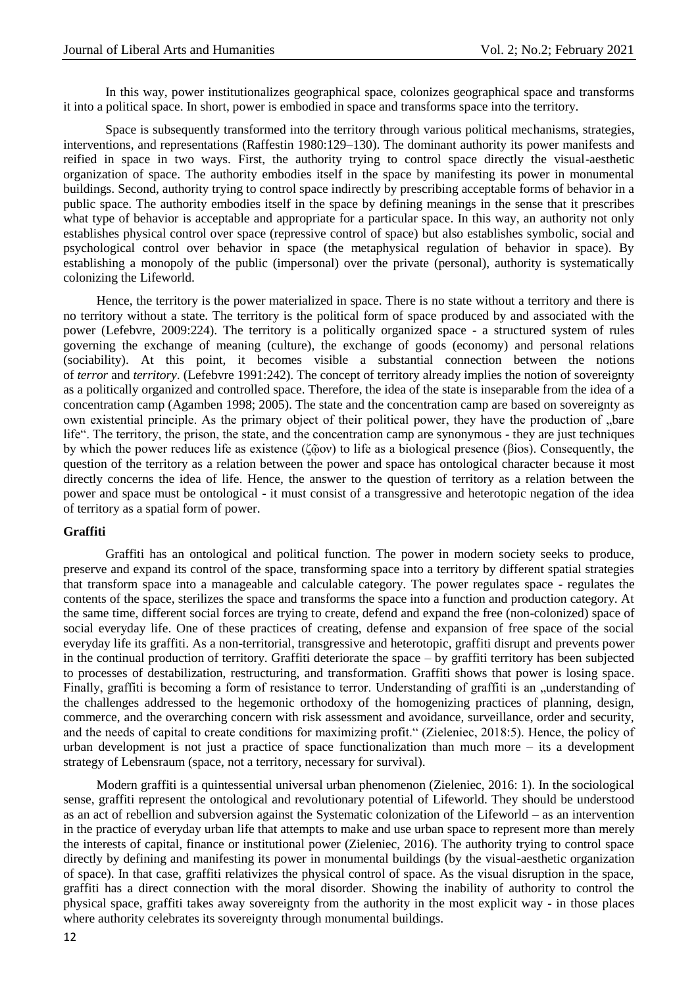In this way, power institutionalizes geographical space, colonizes geographical space and transforms it into a political space. In short, power is embodied in space and transforms space into the territory.

Space is subsequently transformed into the territory through various political mechanisms, strategies, interventions, and representations (Raffestin 1980:129–130). The dominant authority its power manifests and reified in space in two ways. First, the authority trying to control space directly the visual-aesthetic organization of space. The authority embodies itself in the space by manifesting its power in monumental buildings. Second, authority trying to control space indirectly by prescribing acceptable forms of behavior in a public space. The authority embodies itself in the space by defining meanings in the sense that it prescribes what type of behavior is acceptable and appropriate for a particular space. In this way, an authority not only establishes physical control over space (repressive control of space) but also establishes symbolic, social and psychological control over behavior in space (the metaphysical regulation of behavior in space). By establishing a monopoly of the public (impersonal) over the private (personal), authority is systematically colonizing the Lifeworld.

Hence, the territory is the power materialized in space. There is no state without a territory and there is no territory without a state. The territory is the political form of space produced by and associated with the power (Lefebvre, 2009:224). The territory is a politically organized space - a structured system of rules governing the exchange of meaning (culture), the exchange of goods (economy) and personal relations (sociability). At this point, it becomes visible a substantial connection between the notions of *terror* and *territory*. (Lefebvre 1991:242). The concept of territory already implies the notion of sovereignty as a politically organized and controlled space. Therefore, the idea of the state is inseparable from the idea of a concentration camp (Agamben 1998; 2005). The state and the concentration camp are based on sovereignty as own existential principle. As the primary object of their political power, they have the production of "bare life". The territory, the prison, the state, and the concentration camp are synonymous - they are just techniques by which the power reduces life as existence (ζῷον) to life as a biological presence (βiοs). Consequently, the question of the territory as a relation between the power and space has ontological character because it most directly concerns the idea of life. Hence, the answer to the question of territory as a relation between the power and space must be ontological - it must consist of a transgressive and heterotopic negation of the idea of territory as a spatial form of power.

#### **Graffiti**

Graffiti has an ontological and political function. The power in modern society seeks to produce, preserve and expand its control of the space, transforming space into a territory by different spatial strategies that transform space into a manageable and calculable category. The power regulates space - regulates the contents of the space, sterilizes the space and transforms the space into a function and production category. At the same time, different social forces are trying to create, defend and expand the free (non-colonized) space of social everyday life. One of these practices of creating, defense and expansion of free space of the social everyday life its graffiti. As a non-territorial, transgressive and heterotopic, graffiti disrupt and prevents power in the continual production of territory. Graffiti deteriorate the space – by graffiti territory has been subjected to processes of destabilization, restructuring, and transformation. Graffiti shows that power is losing space. Finally, graffiti is becoming a form of resistance to terror. Understanding of graffiti is an understanding of the challenges addressed to the hegemonic orthodoxy of the homogenizing practices of planning, design, commerce, and the overarching concern with risk assessment and avoidance, surveillance, order and security, and the needs of capital to create conditions for maximizing profit." (Zieleniec, 2018:5). Hence, the policy of urban development is not just a practice of space functionalization than much more – its a development strategy of Lebensraum (space, not a territory, necessary for survival).

Modern graffiti is a quintessential universal urban phenomenon (Zieleniec, 2016: 1). In the sociological sense, graffiti represent the ontological and revolutionary potential of Lifeworld. They should be understood as an act of rebellion and subversion against the Systematic colonization of the Lifeworld – as an intervention in the practice of everyday urban life that attempts to make and use urban space to represent more than merely the interests of capital, finance or institutional power (Zieleniec, 2016). The authority trying to control space directly by defining and manifesting its power in monumental buildings (by the visual-aesthetic organization of space). In that case, graffiti relativizes the physical control of space. As the visual disruption in the space, graffiti has a direct connection with the moral disorder. Showing the inability of authority to control the physical space, graffiti takes away sovereignty from the authority in the most explicit way - in those places where authority celebrates its sovereignty through monumental buildings.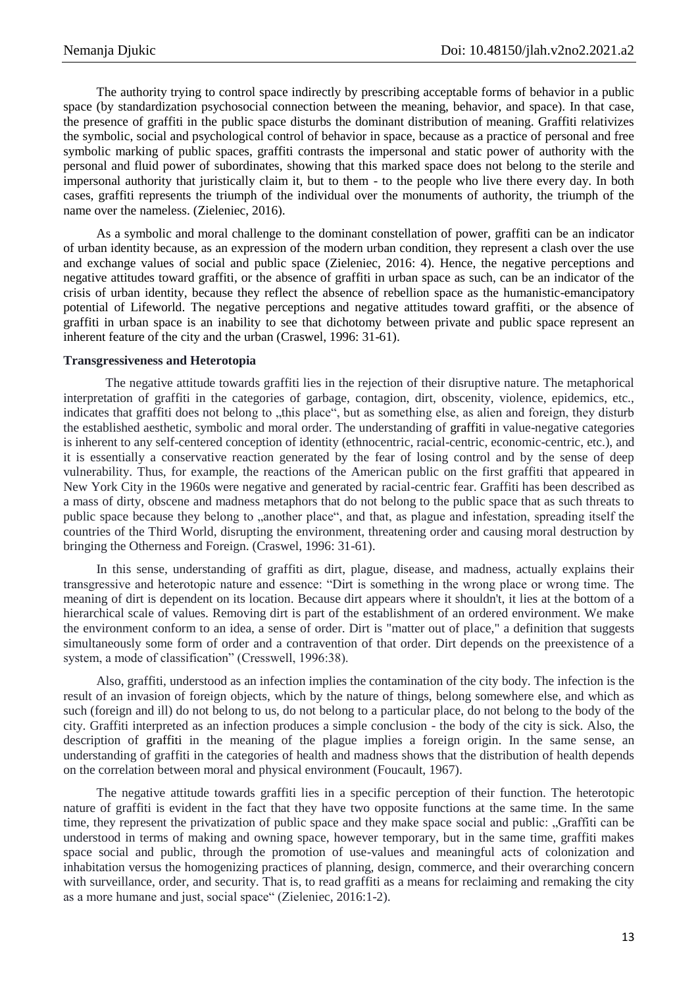The authority trying to control space indirectly by prescribing acceptable forms of behavior in a public space (by standardization psychosocial connection between the meaning, behavior, and space). In that case, the presence of graffiti in the public space disturbs the dominant distribution of meaning. Graffiti relativizes the symbolic, social and psychological control of behavior in space, because as a practice of personal and free symbolic marking of public spaces, graffiti contrasts the impersonal and static power of authority with the personal and fluid power of subordinates, showing that this marked space does not belong to the sterile and impersonal authority that juristically claim it, but to them - to the people who live there every day. In both cases, graffiti represents the triumph of the individual over the monuments of authority, the triumph of the name over the nameless. (Zieleniec, 2016).

As a symbolic and moral challenge to the dominant constellation of power, graffiti can be an indicator of urban identity because, as an expression of the modern urban condition, they represent a clash over the use and exchange values of social and public space (Zieleniec, 2016: 4). Hence, the negative perceptions and negative attitudes toward graffiti, or the absence of graffiti in urban space as such, can be an indicator of the crisis of urban identity, because they reflect the absence of rebellion space as the humanistic-emancipatory potential of Lifeworld. The negative perceptions and negative attitudes toward graffiti, or the absence of graffiti in urban space is an inability to see that dichotomy between private and public space represent an inherent feature of the city and the urban (Craswel, 1996: 31-61).

### **Transgressiveness and Heterotopia**

The negative attitude towards graffiti lies in the rejection of their disruptive nature. The metaphorical interpretation of graffiti in the categories of garbage, contagion, dirt, obscenity, violence, epidemics, etc., indicates that graffiti does not belong to "this place", but as something else, as alien and foreign, they disturb the established aesthetic, symbolic and moral order. The understanding of graffiti in value-negative categories is inherent to any self-centered conception of identity (ethnocentric, racial-centric, economic-centric, etc.), and it is essentially a conservative reaction generated by the fear of losing control and by the sense of deep vulnerability. Thus, for example, the reactions of the American public on the first graffiti that appeared in New York City in the 1960s were negative and generated by racial-centric fear. Graffiti has been described as a mass of dirty, obscene and madness metaphors that do not belong to the public space that as such threats to public space because they belong to "another place", and that, as plague and infestation, spreading itself the countries of the Third World, disrupting the environment, threatening order and causing moral destruction by bringing the Otherness and Foreign. (Craswel, 1996: 31-61).

In this sense, understanding of graffiti as dirt, plague, disease, and madness, actually explains their transgressive and heterotopic nature and essence: "Dirt is something in the wrong place or wrong time. The meaning of dirt is dependent on its location. Because dirt appears where it shouldn't, it lies at the bottom of a hierarchical scale of values. Removing dirt is part of the establishment of an ordered environment. We make the environment conform to an idea, a sense of order. Dirt is "matter out of place," a definition that suggests simultaneously some form of order and a contravention of that order. Dirt depends on the preexistence of a system, a mode of classification" (Cresswell, 1996:38).

Also, graffiti, understood as an infection implies the contamination of the city body. The infection is the result of an invasion of foreign objects, which by the nature of things, belong somewhere else, and which as such (foreign and ill) do not belong to us, do not belong to a particular place, do not belong to the body of the city. Graffiti interpreted as an infection produces a simple conclusion - the body of the city is sick. Also, the description of graffiti in the meaning of the plague implies a foreign origin. In the same sense, an understanding of graffiti in the categories of health and madness shows that the distribution of health depends on the correlation between moral and physical environment (Foucault, 1967).

The negative attitude towards graffiti lies in a specific perception of their function. The heterotopic nature of graffiti is evident in the fact that they have two opposite functions at the same time. In the same time, they represent the privatization of public space and they make space social and public: "Graffiti can be understood in terms of making and owning space, however temporary, but in the same time, graffiti makes space social and public, through the promotion of use-values and meaningful acts of colonization and inhabitation versus the homogenizing practices of planning, design, commerce, and their overarching concern with surveillance, order, and security. That is, to read graffiti as a means for reclaiming and remaking the city as a more humane and just, social space" (Zieleniec, 2016:1-2).